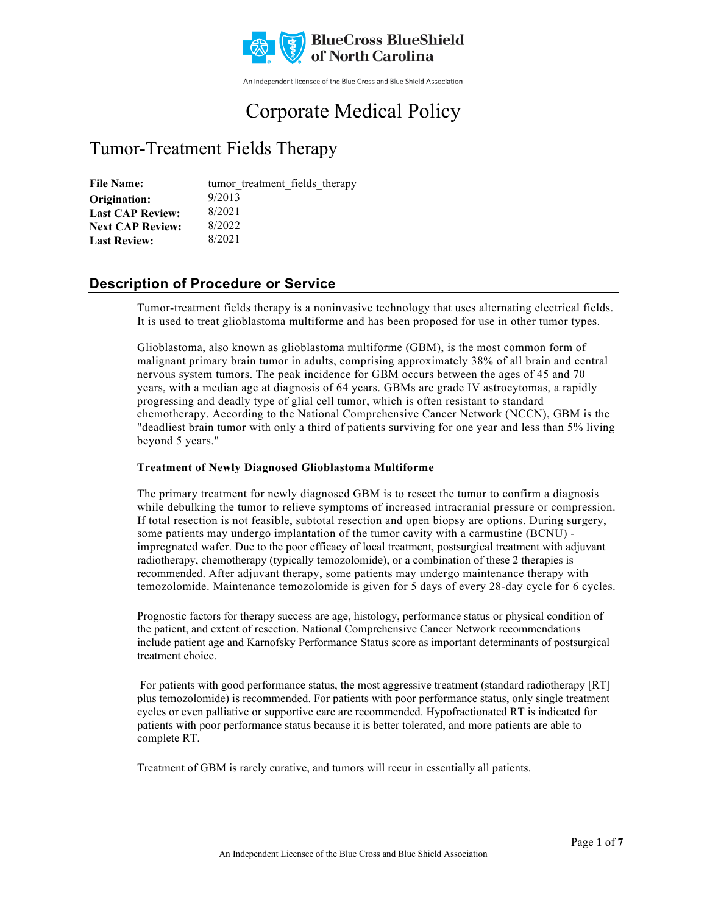

An independent licensee of the Blue Cross and Blue Shield Association

# Corporate Medical Policy

## Tumor-Treatment Fields Therapy

File Name: tumor treatment fields therapy 9/2013 8/2021 8/2022 8/2021 **Origination: Last CAP Review: Next CAP Review: Last Review:**

## **Description of Procedure or Service**

Tumor-treatment fields therapy is a noninvasive technology that uses alternating electrical fields. It is used to treat glioblastoma multiforme and has been proposed for use in other tumor types.

Glioblastoma, also known as glioblastoma multiforme (GBM), is the most common form of malignant primary brain tumor in adults, comprising approximately 38% of all brain and central nervous system tumors. The peak incidence for GBM occurs between the ages of 45 and 70 years, with a median age at diagnosis of 64 years. GBMs are grade IV astrocytomas, a rapidly progressing and deadly type of glial cell tumor, which is often resistant to standard chemotherapy. According to the National Comprehensive Cancer Network (NCCN), GBM is the "deadliest brain tumor with only a third of patients surviving for one year and less than 5% living beyond 5 years."

### **Treatment of Newly Diagnosed Glioblastoma Multiforme**

The primary treatment for newly diagnosed GBM is to resect the tumor to confirm a diagnosis while debulking the tumor to relieve symptoms of increased intracranial pressure or compression. If total resection is not feasible, subtotal resection and open biopsy are options. During surgery, some patients may undergo implantation of the tumor cavity with a carmustine (BCNU) impregnated wafer. Due to the poor efficacy of local treatment, postsurgical treatment with adjuvant radiotherapy, chemotherapy (typically temozolomide), or a combination of these 2 therapies is recommended. After adjuvant therapy, some patients may undergo maintenance therapy with temozolomide. Maintenance temozolomide is given for 5 days of every 28-day cycle for 6 cycles.

Prognostic factors for therapy success are age, histology, performance status or physical condition of the patient, and extent of resection. National Comprehensive Cancer Network recommendations include patient age and Karnofsky Performance Status score as important determinants of postsurgical treatment choice.

For patients with good performance status, the most aggressive treatment (standard radiotherapy [RT] plus temozolomide) is recommended. For patients with poor performance status, only single treatment cycles or even palliative or supportive care are recommended. Hypofractionated RT is indicated for patients with poor performance status because it is better tolerated, and more patients are able to complete RT.

Treatment of GBM is rarely curative, and tumors will recur in essentially all patients.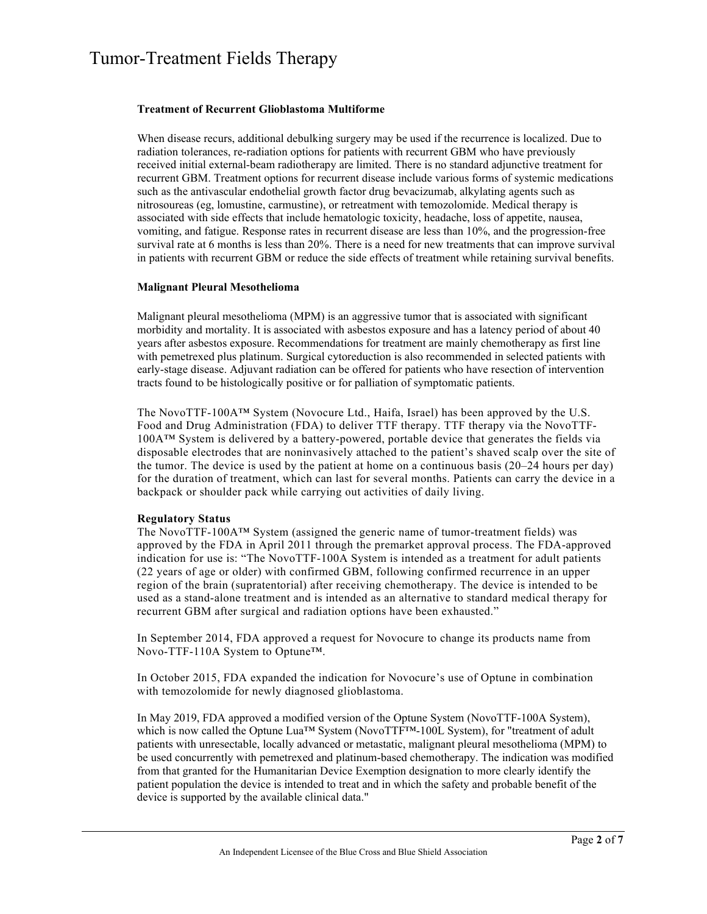#### **Treatment of Recurrent Glioblastoma Multiforme**

When disease recurs, additional debulking surgery may be used if the recurrence is localized. Due to radiation tolerances, re-radiation options for patients with recurrent GBM who have previously received initial external-beam radiotherapy are limited. There is no standard adjunctive treatment for recurrent GBM. Treatment options for recurrent disease include various forms of systemic medications such as the antivascular endothelial growth factor drug bevacizumab, alkylating agents such as nitrosoureas (eg, lomustine, carmustine), or retreatment with temozolomide. Medical therapy is associated with side effects that include hematologic toxicity, headache, loss of appetite, nausea, vomiting, and fatigue. Response rates in recurrent disease are less than 10%, and the progression-free survival rate at 6 months is less than 20%. There is a need for new treatments that can improve survival in patients with recurrent GBM or reduce the side effects of treatment while retaining survival benefits.

#### **Malignant Pleural Mesothelioma**

Malignant pleural mesothelioma (MPM) is an aggressive tumor that is associated with significant morbidity and mortality. It is associated with asbestos exposure and has a latency period of about 40 years after asbestos exposure. Recommendations for treatment are mainly chemotherapy as first line with pemetrexed plus platinum. Surgical cytoreduction is also recommended in selected patients with early-stage disease. Adjuvant radiation can be offered for patients who have resection of intervention tracts found to be histologically positive or for palliation of symptomatic patients.

The NovoTTF-100A™ System (Novocure Ltd., Haifa, Israel) has been approved by the U.S. Food and Drug Administration (FDA) to deliver TTF therapy. TTF therapy via the NovoTTF-100A™ System is delivered by a battery-powered, portable device that generates the fields via disposable electrodes that are noninvasively attached to the patient's shaved scalp over the site of the tumor. The device is used by the patient at home on a continuous basis  $(20-24$  hours per day) for the duration of treatment, which can last for several months. Patients can carry the device in a backpack or shoulder pack while carrying out activities of daily living.

#### **Regulatory Status**

The NovoTTF-100A™ System (assigned the generic name of tumor-treatment fields) was approved by the FDA in April 2011 through the premarket approval process. The FDA-approved indication for use is: "The NovoTTF-100A System is intended as a treatment for adult patients (22 years of age or older) with confirmed GBM, following confirmed recurrence in an upper region of the brain (supratentorial) after receiving chemotherapy. The device is intended to be used as a stand-alone treatment and is intended as an alternative to standard medical therapy for recurrent GBM after surgical and radiation options have been exhausted."

In September 2014, FDA approved a request for Novocure to change its products name from Novo-TTF-110A System to Optune™.

In October 2015, FDA expanded the indication for Novocure's use of Optune in combination with temozolomide for newly diagnosed glioblastoma.

In May 2019, FDA approved a modified version of the Optune System (NovoTTF-100A System), which is now called the Optune Lua™ System (NovoTTF™-100L System), for "treatment of adult patients with unresectable, locally advanced or metastatic, malignant pleural mesothelioma (MPM) to be used concurrently with pemetrexed and platinum-based chemotherapy. The indication was modified from that granted for the Humanitarian Device Exemption designation to more clearly identify the patient population the device is intended to treat and in which the safety and probable benefit of the device is supported by the available clinical data."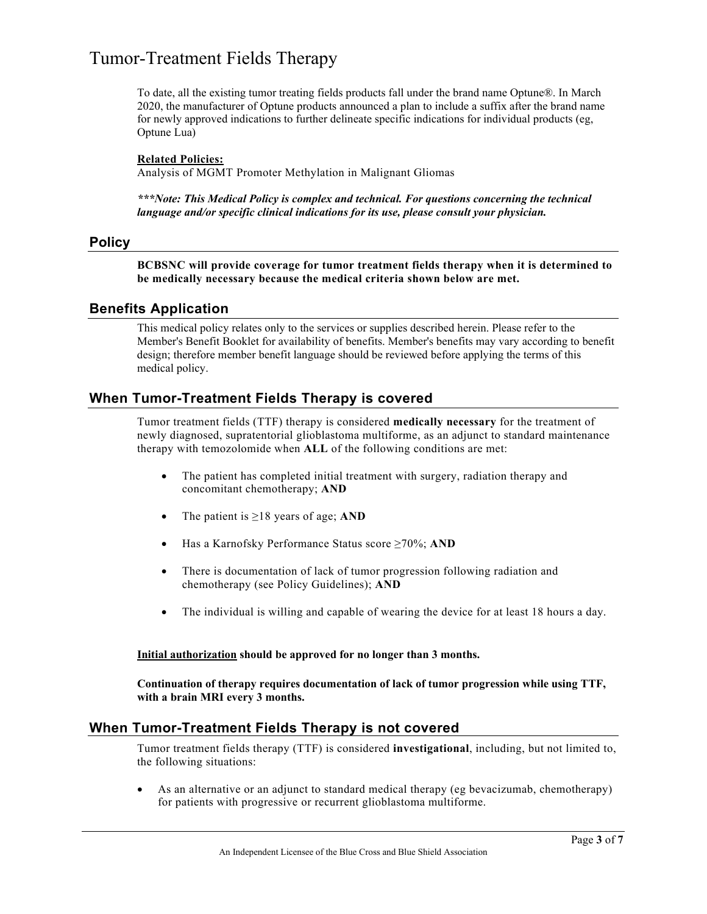To date, all the existing tumor treating fields products fall under the brand name Optune®. In March 2020, the manufacturer of Optune products announced a plan to include a suffix after the brand name for newly approved indications to further delineate specific indications for individual products (eg, Optune Lua)

#### **Related Policies:**

Analysis of MGMT Promoter Methylation in Malignant Gliomas

*\*\*\*Note: This Medical Policy is complex and technical. For questions concerning the technical language and/or specific clinical indications for its use, please consult your physician.*

#### **Policy**

**BCBSNC will provide coverage for tumor treatment fields therapy when it is determined to be medically necessary because the medical criteria shown below are met.** 

### **Benefits Application**

This medical policy relates only to the services or supplies described herein. Please refer to the Member's Benefit Booklet for availability of benefits. Member's benefits may vary according to benefit design; therefore member benefit language should be reviewed before applying the terms of this medical policy.

### **When Tumor-Treatment Fields Therapy is covered**

Tumor treatment fields (TTF) therapy is considered **medically necessary** for the treatment of newly diagnosed, supratentorial glioblastoma multiforme, as an adjunct to standard maintenance therapy with temozolomide when **ALL** of the following conditions are met:

- The patient has completed initial treatment with surgery, radiation therapy and concomitant chemotherapy; **AND**
- The patient is ≥18 years of age; **AND**
- Has a Karnofsky Performance Status score ≥70%; **AND**
- There is documentation of lack of tumor progression following radiation and chemotherapy (see Policy Guidelines); **AND**
- The individual is willing and capable of wearing the device for at least 18 hours a day.

#### **Initial authorization should be approved for no longer than 3 months.**

**Continuation of therapy requires documentation of lack of tumor progression while using TTF, with a brain MRI every 3 months.**

### **When Tumor-Treatment Fields Therapy is not covered**

Tumor treatment fields therapy (TTF) is considered **investigational**, including, but not limited to, the following situations:

• As an alternative or an adjunct to standard medical therapy (eg bevacizumab, chemotherapy) for patients with progressive or recurrent glioblastoma multiforme.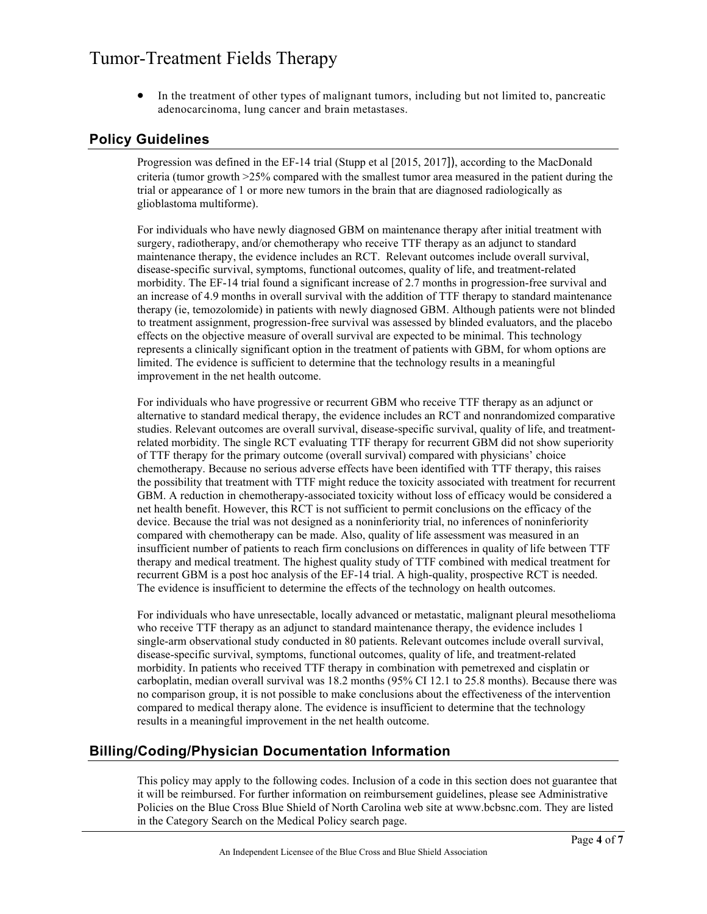• In the treatment of other types of malignant tumors, including but not limited to, pancreatic adenocarcinoma, lung cancer and brain metastases.

### **Policy Guidelines**

Progression was defined in the EF-14 trial (Stupp et al [2015, 2017]), according to the MacDonald criteria (tumor growth >25% compared with the smallest tumor area measured in the patient during the trial or appearance of 1 or more new tumors in the brain that are diagnosed radiologically as glioblastoma multiforme).

For individuals who have newly diagnosed GBM on maintenance therapy after initial treatment with surgery, radiotherapy, and/or chemotherapy who receive TTF therapy as an adjunct to standard maintenance therapy, the evidence includes an RCT. Relevant outcomes include overall survival, disease-specific survival, symptoms, functional outcomes, quality of life, and treatment-related morbidity. The EF-14 trial found a significant increase of 2.7 months in progression-free survival and an increase of 4.9 months in overall survival with the addition of TTF therapy to standard maintenance therapy (ie, temozolomide) in patients with newly diagnosed GBM. Although patients were not blinded to treatment assignment, progression-free survival was assessed by blinded evaluators, and the placebo effects on the objective measure of overall survival are expected to be minimal. This technology represents a clinically significant option in the treatment of patients with GBM, for whom options are limited. The evidence is sufficient to determine that the technology results in a meaningful improvement in the net health outcome.

For individuals who have progressive or recurrent GBM who receive TTF therapy as an adjunct or alternative to standard medical therapy, the evidence includes an RCT and nonrandomized comparative studies. Relevant outcomes are overall survival, disease-specific survival, quality of life, and treatmentrelated morbidity. The single RCT evaluating TTF therapy for recurrent GBM did not show superiority of TTF therapy for the primary outcome (overall survival) compared with physicians' choice chemotherapy. Because no serious adverse effects have been identified with TTF therapy, this raises the possibility that treatment with TTF might reduce the toxicity associated with treatment for recurrent GBM. A reduction in chemotherapy-associated toxicity without loss of efficacy would be considered a net health benefit. However, this RCT is not sufficient to permit conclusions on the efficacy of the device. Because the trial was not designed as a noninferiority trial, no inferences of noninferiority compared with chemotherapy can be made. Also, quality of life assessment was measured in an insufficient number of patients to reach firm conclusions on differences in quality of life between TTF therapy and medical treatment. The highest quality study of TTF combined with medical treatment for recurrent GBM is a post hoc analysis of the EF-14 trial. A high-quality, prospective RCT is needed. The evidence is insufficient to determine the effects of the technology on health outcomes.

For individuals who have unresectable, locally advanced or metastatic, malignant pleural mesothelioma who receive TTF therapy as an adjunct to standard maintenance therapy, the evidence includes 1 single-arm observational study conducted in 80 patients. Relevant outcomes include overall survival, disease-specific survival, symptoms, functional outcomes, quality of life, and treatment-related morbidity. In patients who received TTF therapy in combination with pemetrexed and cisplatin or carboplatin, median overall survival was 18.2 months (95% CI 12.1 to 25.8 months). Because there was no comparison group, it is not possible to make conclusions about the effectiveness of the intervention compared to medical therapy alone. The evidence is insufficient to determine that the technology results in a meaningful improvement in the net health outcome.

## **Billing/Coding/Physician Documentation Information**

This policy may apply to the following codes. Inclusion of a code in this section does not guarantee that it will be reimbursed. For further information on reimbursement guidelines, please see Administrative Policies on the Blue Cross Blue Shield of North Carolina web site at www.bcbsnc.com. They are listed in the Category Search on the Medical Policy search page.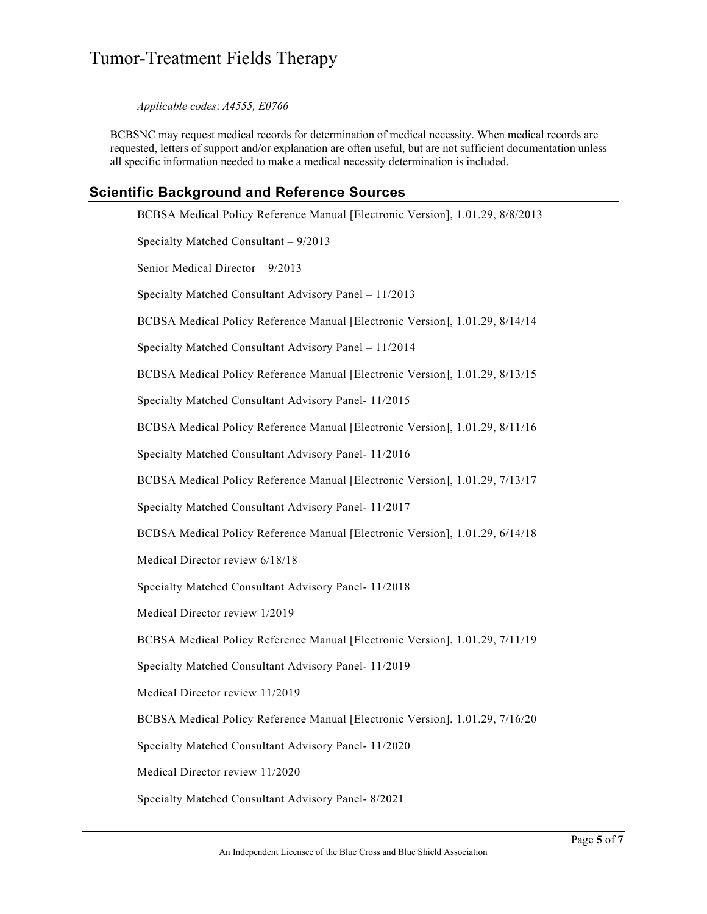*Applicable codes*: *A4555, E0766*

BCBSNC may request medical records for determination of medical necessity. When medical records are requested, letters of support and/or explanation are often useful, but are not sufficient documentation unless all specific information needed to make a medical necessity determination is included.

## **Scientific Background and Reference Sources**

BCBSA Medical Policy Reference Manual [Electronic Version], 1.01.29, 8/8/2013 Specialty Matched Consultant – 9/2013 Senior Medical Director – 9/2013 Specialty Matched Consultant Advisory Panel – 11/2013 BCBSA Medical Policy Reference Manual [Electronic Version], 1.01.29, 8/14/14 Specialty Matched Consultant Advisory Panel – 11/2014 BCBSA Medical Policy Reference Manual [Electronic Version], 1.01.29, 8/13/15 Specialty Matched Consultant Advisory Panel- 11/2015 BCBSA Medical Policy Reference Manual [Electronic Version], 1.01.29, 8/11/16 Specialty Matched Consultant Advisory Panel- 11/2016 BCBSA Medical Policy Reference Manual [Electronic Version], 1.01.29, 7/13/17 Specialty Matched Consultant Advisory Panel- 11/2017 BCBSA Medical Policy Reference Manual [Electronic Version], 1.01.29, 6/14/18 Medical Director review 6/18/18 Specialty Matched Consultant Advisory Panel- 11/2018 Medical Director review 1/2019 BCBSA Medical Policy Reference Manual [Electronic Version], 1.01.29, 7/11/19 Specialty Matched Consultant Advisory Panel- 11/2019 Medical Director review 11/2019 BCBSA Medical Policy Reference Manual [Electronic Version], 1.01.29, 7/16/20 Specialty Matched Consultant Advisory Panel- 11/2020 Medical Director review 11/2020 Specialty Matched Consultant Advisory Panel- 8/2021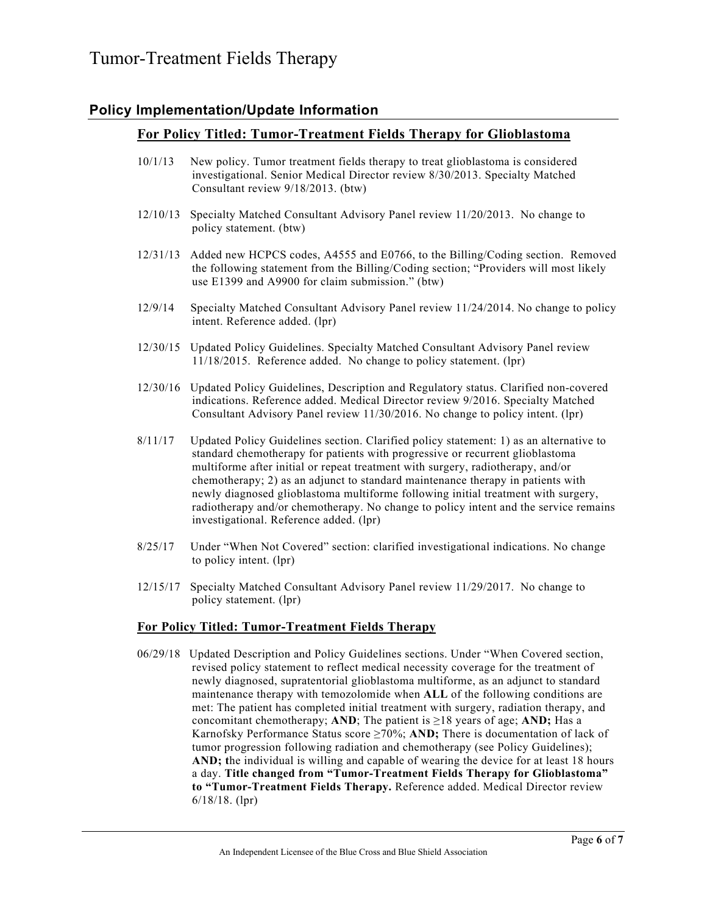## **Policy Implementation/Update Information**

### **For Policy Titled: Tumor-Treatment Fields Therapy for Glioblastoma**

- 10/1/13 New policy. Tumor treatment fields therapy to treat glioblastoma is considered investigational. Senior Medical Director review 8/30/2013. Specialty Matched Consultant review 9/18/2013. (btw)
- 12/10/13 Specialty Matched Consultant Advisory Panel review 11/20/2013. No change to policy statement. (btw)
- 12/31/13 Added new HCPCS codes, A4555 and E0766, to the Billing/Coding section. Removed the following statement from the Billing/Coding section; "Providers will most likely use E1399 and A9900 for claim submission." (btw)
- 12/9/14 Specialty Matched Consultant Advisory Panel review 11/24/2014. No change to policy intent. Reference added. (lpr)
- 12/30/15 Updated Policy Guidelines. Specialty Matched Consultant Advisory Panel review 11/18/2015. Reference added. No change to policy statement. (lpr)
- 12/30/16 Updated Policy Guidelines, Description and Regulatory status. Clarified non-covered indications. Reference added. Medical Director review 9/2016. Specialty Matched Consultant Advisory Panel review 11/30/2016. No change to policy intent. (lpr)
- 8/11/17 Updated Policy Guidelines section. Clarified policy statement: 1) as an alternative to standard chemotherapy for patients with progressive or recurrent glioblastoma multiforme after initial or repeat treatment with surgery, radiotherapy, and/or chemotherapy; 2) as an adjunct to standard maintenance therapy in patients with newly diagnosed glioblastoma multiforme following initial treatment with surgery, radiotherapy and/or chemotherapy. No change to policy intent and the service remains investigational. Reference added. (lpr)
- 8/25/17 Under "When Not Covered" section: clarified investigational indications. No change to policy intent. (lpr)
- 12/15/17 Specialty Matched Consultant Advisory Panel review 11/29/2017. No change to policy statement. (lpr)

#### **For Policy Titled: Tumor-Treatment Fields Therapy**

06/29/18 Updated Description and Policy Guidelines sections. Under "When Covered section, revised policy statement to reflect medical necessity coverage for the treatment of newly diagnosed, supratentorial glioblastoma multiforme, as an adjunct to standard maintenance therapy with temozolomide when **ALL** of the following conditions are met: The patient has completed initial treatment with surgery, radiation therapy, and concomitant chemotherapy; **AND**; The patient is ≥18 years of age; **AND;** Has a Karnofsky Performance Status score ≥70%; **AND;** There is documentation of lack of tumor progression following radiation and chemotherapy (see Policy Guidelines); **AND; t**he individual is willing and capable of wearing the device for at least 18 hours a day. **Title changed from "Tumor-Treatment Fields Therapy for Glioblastoma" to "Tumor-Treatment Fields Therapy.** Reference added. Medical Director review 6/18/18. (lpr)